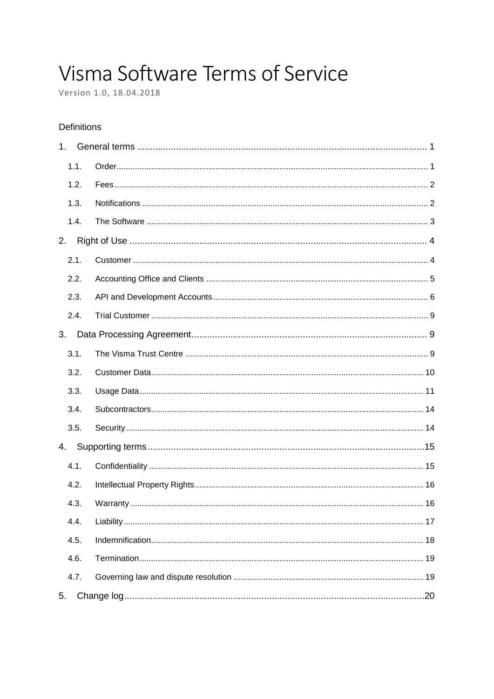# Visma Software Terms of Service

Version 1.0, 18.04.2018

### **Definitions**

| 1 <sub>1</sub> |  |  |  |
|----------------|--|--|--|
| 1.1.           |  |  |  |
| 1.2.           |  |  |  |
| 1.3.           |  |  |  |
| 1.4.           |  |  |  |
| 2.             |  |  |  |
| 2.1.           |  |  |  |
| 2.2.           |  |  |  |
| 2.3.           |  |  |  |
| 2.4.           |  |  |  |
| 3.             |  |  |  |
| 3.1.           |  |  |  |
| 3.2.           |  |  |  |
| 3.3.           |  |  |  |
| 3.4.           |  |  |  |
| 3.5.           |  |  |  |
| 4.             |  |  |  |
| 4.1.           |  |  |  |
| 4.2.           |  |  |  |
| 4.3.           |  |  |  |
| 4.4.           |  |  |  |
| 4.5.           |  |  |  |
| 4.6.           |  |  |  |
| 4.7.           |  |  |  |
| 5.             |  |  |  |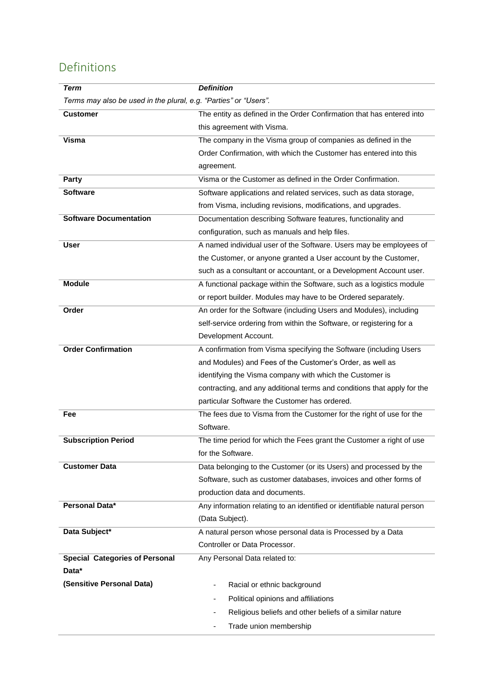# <span id="page-1-0"></span>Definitions

| <b>Term</b>                                                      | <b>Definition</b>                                                        |  |  |
|------------------------------------------------------------------|--------------------------------------------------------------------------|--|--|
| Terms may also be used in the plural, e.g. "Parties" or "Users". |                                                                          |  |  |
| <b>Customer</b>                                                  | The entity as defined in the Order Confirmation that has entered into    |  |  |
|                                                                  | this agreement with Visma.                                               |  |  |
| Visma                                                            | The company in the Visma group of companies as defined in the            |  |  |
|                                                                  | Order Confirmation, with which the Customer has entered into this        |  |  |
|                                                                  | agreement.                                                               |  |  |
| <b>Party</b>                                                     | Visma or the Customer as defined in the Order Confirmation.              |  |  |
| <b>Software</b>                                                  | Software applications and related services, such as data storage,        |  |  |
|                                                                  | from Visma, including revisions, modifications, and upgrades.            |  |  |
| <b>Software Documentation</b>                                    | Documentation describing Software features, functionality and            |  |  |
|                                                                  | configuration, such as manuals and help files.                           |  |  |
| <b>User</b>                                                      | A named individual user of the Software. Users may be employees of       |  |  |
|                                                                  | the Customer, or anyone granted a User account by the Customer,          |  |  |
|                                                                  | such as a consultant or accountant, or a Development Account user.       |  |  |
| <b>Module</b>                                                    | A functional package within the Software, such as a logistics module     |  |  |
|                                                                  | or report builder. Modules may have to be Ordered separately.            |  |  |
| Order                                                            | An order for the Software (including Users and Modules), including       |  |  |
|                                                                  | self-service ordering from within the Software, or registering for a     |  |  |
|                                                                  | Development Account.                                                     |  |  |
| <b>Order Confirmation</b>                                        | A confirmation from Visma specifying the Software (including Users       |  |  |
|                                                                  | and Modules) and Fees of the Customer's Order, as well as                |  |  |
|                                                                  | identifying the Visma company with which the Customer is                 |  |  |
|                                                                  | contracting, and any additional terms and conditions that apply for the  |  |  |
|                                                                  | particular Software the Customer has ordered.                            |  |  |
| Fee                                                              | The fees due to Visma from the Customer for the right of use for the     |  |  |
|                                                                  | Software.                                                                |  |  |
| <b>Subscription Period</b>                                       | The time period for which the Fees grant the Customer a right of use     |  |  |
|                                                                  | for the Software.                                                        |  |  |
| <b>Customer Data</b>                                             | Data belonging to the Customer (or its Users) and processed by the       |  |  |
|                                                                  | Software, such as customer databases, invoices and other forms of        |  |  |
|                                                                  | production data and documents.                                           |  |  |
| Personal Data*                                                   | Any information relating to an identified or identifiable natural person |  |  |
|                                                                  | (Data Subject).                                                          |  |  |
| Data Subject*                                                    | A natural person whose personal data is Processed by a Data              |  |  |
|                                                                  | Controller or Data Processor.                                            |  |  |
| <b>Special Categories of Personal</b>                            | Any Personal Data related to:                                            |  |  |
| Data*                                                            |                                                                          |  |  |
| (Sensitive Personal Data)                                        | Racial or ethnic background                                              |  |  |
|                                                                  | Political opinions and affiliations                                      |  |  |
|                                                                  | Religious beliefs and other beliefs of a similar nature                  |  |  |
|                                                                  | Trade union membership                                                   |  |  |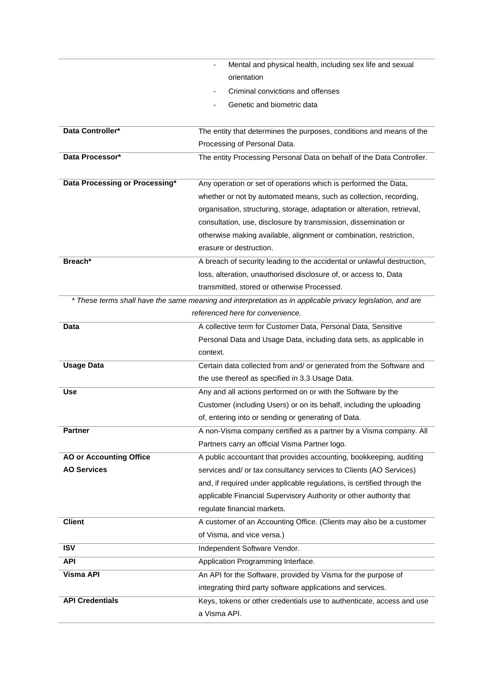|                                | Mental and physical health, including sex life and sexual                                                  |
|--------------------------------|------------------------------------------------------------------------------------------------------------|
|                                | orientation                                                                                                |
|                                | Criminal convictions and offenses                                                                          |
|                                | Genetic and biometric data                                                                                 |
|                                |                                                                                                            |
| Data Controller*               | The entity that determines the purposes, conditions and means of the                                       |
|                                | Processing of Personal Data.                                                                               |
| Data Processor*                | The entity Processing Personal Data on behalf of the Data Controller.                                      |
| Data Processing or Processing* | Any operation or set of operations which is performed the Data,                                            |
|                                | whether or not by automated means, such as collection, recording,                                          |
|                                | organisation, structuring, storage, adaptation or alteration, retrieval,                                   |
|                                | consultation, use, disclosure by transmission, dissemination or                                            |
|                                | otherwise making available, alignment or combination, restriction,                                         |
|                                | erasure or destruction.                                                                                    |
| Breach*                        | A breach of security leading to the accidental or unlawful destruction,                                    |
|                                | loss, alteration, unauthorised disclosure of, or access to, Data                                           |
|                                | transmitted, stored or otherwise Processed.                                                                |
|                                | * These terms shall have the same meaning and interpretation as in applicable privacy legislation, and are |
|                                | referenced here for convenience.                                                                           |
| Data                           | A collective term for Customer Data, Personal Data, Sensitive                                              |
|                                | Personal Data and Usage Data, including data sets, as applicable in                                        |
|                                | context.                                                                                                   |
| <b>Usage Data</b>              | Certain data collected from and/ or generated from the Software and                                        |
|                                | the use thereof as specified in 3.3 Usage Data.                                                            |
| <b>Use</b>                     | Any and all actions performed on or with the Software by the                                               |
|                                | Customer (including Users) or on its behalf, including the uploading                                       |
|                                | of, entering into or sending or generating of Data.                                                        |
| Partner                        | A non-Visma company certified as a partner by a Visma company. All                                         |
|                                | Partners carry an official Visma Partner logo.                                                             |
| <b>AO or Accounting Office</b> | A public accountant that provides accounting, bookkeeping, auditing                                        |
| <b>AO Services</b>             | services and/ or tax consultancy services to Clients (AO Services)                                         |
|                                | and, if required under applicable regulations, is certified through the                                    |
|                                | applicable Financial Supervisory Authority or other authority that                                         |
|                                | regulate financial markets.                                                                                |
| <b>Client</b>                  | A customer of an Accounting Office. (Clients may also be a customer                                        |
|                                | of Visma, and vice versa.)                                                                                 |
| ISV                            | Independent Software Vendor.                                                                               |
| <b>API</b>                     | Application Programming Interface.                                                                         |
| <b>Visma API</b>               | An API for the Software, provided by Visma for the purpose of                                              |
|                                | integrating third party software applications and services.                                                |
| <b>API Credentials</b>         | Keys, tokens or other credentials use to authenticate, access and use                                      |
|                                | a Visma API.                                                                                               |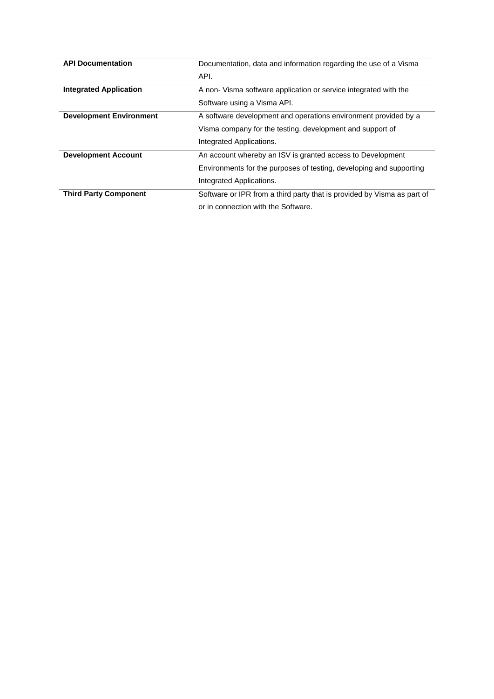| <b>API Documentation</b>       | Documentation, data and information regarding the use of a Visma        |
|--------------------------------|-------------------------------------------------------------------------|
|                                | API.                                                                    |
| <b>Integrated Application</b>  | A non-Visma software application or service integrated with the         |
|                                | Software using a Visma API.                                             |
| <b>Development Environment</b> | A software development and operations environment provided by a         |
|                                | Visma company for the testing, development and support of               |
|                                | Integrated Applications.                                                |
| <b>Development Account</b>     | An account whereby an ISV is granted access to Development              |
|                                | Environments for the purposes of testing, developing and supporting     |
|                                | Integrated Applications.                                                |
| <b>Third Party Component</b>   | Software or IPR from a third party that is provided by Visma as part of |
|                                | or in connection with the Software.                                     |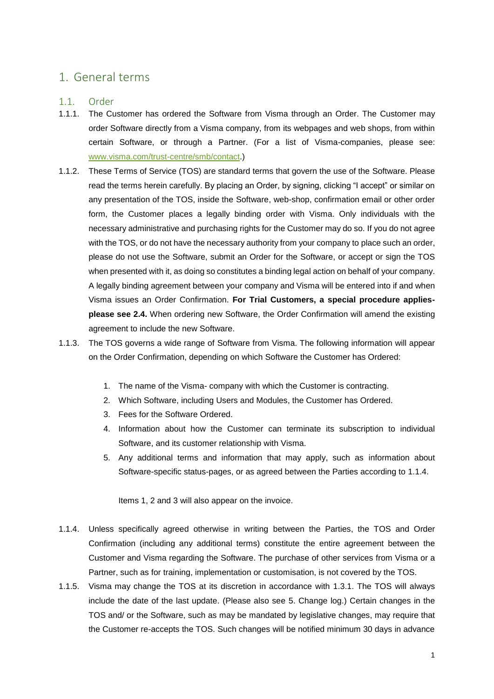### <span id="page-4-0"></span>1. General terms

### <span id="page-4-1"></span>1.1. Order

- 1.1.1. The Customer has ordered the Software from Visma through an Order. The Customer may order Software directly from a Visma company, from its webpages and web shops, from within certain Software, or through a Partner. (For a list of Visma-companies, please see: [www.visma.com/trust-centre/smb/contact.](http://www.visma.com/trust-centre/smb/contact))
- 1.1.2. These Terms of Service (TOS) are standard terms that govern the use of the Software. Please read the terms herein carefully. By placing an Order, by signing, clicking "I accept" or similar on any presentation of the TOS, inside the Software, web-shop, confirmation email or other order form, the Customer places a legally binding order with Visma. Only individuals with the necessary administrative and purchasing rights for the Customer may do so. If you do not agree with the TOS, or do not have the necessary authority from your company to place such an order, please do not use the Software, submit an Order for the Software, or accept or sign the TOS when presented with it, as doing so constitutes a binding legal action on behalf of your company. A legally binding agreement between your company and Visma will be entered into if and when Visma issues an Order Confirmation. **For Trial Customers, a special procedure appliesplease see [2.4.](#page-12-0)** When ordering new Software, the Order Confirmation will amend the existing agreement to include the new Software.
- 1.1.3. The TOS governs a wide range of Software from Visma. The following information will appear on the Order Confirmation, depending on which Software the Customer has Ordered:
	- 1. The name of the Visma- company with which the Customer is contracting.
	- 2. Which Software, including Users and Modules, the Customer has Ordered.
	- 3. Fees for the Software Ordered.
	- 4. Information about how the Customer can terminate its subscription to individual Software, and its customer relationship with Visma.
	- 5. Any additional terms and information that may apply, such as information about Software-specific status-pages, or as agreed between the Parties according to [1.1.4.](#page-4-2)

Items 1, 2 and 3 will also appear on the invoice.

- <span id="page-4-2"></span>1.1.4. Unless specifically agreed otherwise in writing between the Parties, the TOS and Order Confirmation (including any additional terms) constitute the entire agreement between the Customer and Visma regarding the Software. The purchase of other services from Visma or a Partner, such as for training, implementation or customisation, is not covered by the TOS.
- 1.1.5. Visma may change the TOS at its discretion in accordance with [1.3.1.](#page-5-2) The TOS will always include the date of the last update. (Please also see [5.](#page-23-0) [Change log.](#page-23-0)) Certain changes in the TOS and/ or the Software, such as may be mandated by legislative changes, may require that the Customer re-accepts the TOS. Such changes will be notified minimum 30 days in advance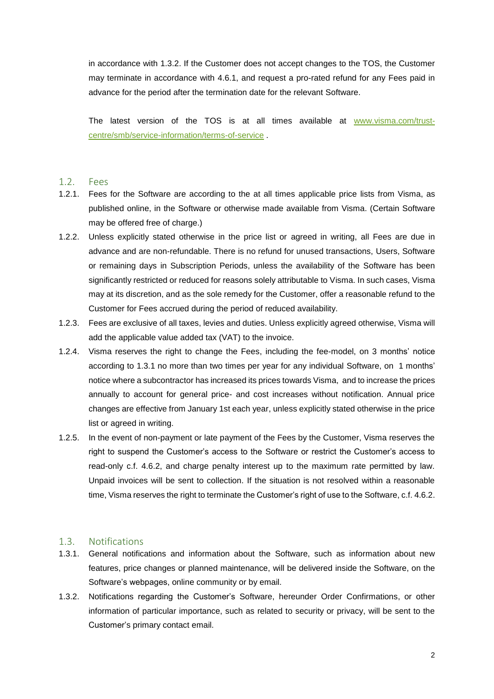in accordance with [1.3.2.](#page-5-3) If the Customer does not accept changes to the TOS, the Customer may terminate in accordance with [4.6.1,](#page-22-2) and request a pro-rated refund for any Fees paid in advance for the period after the termination date for the relevant Software.

The latest version of the TOS is at all times available at [www.visma.com/trust](http://www.visma.com/trust-centre/smb/service-information/terms-of-service)[centre/smb/service-information/terms-of-service](http://www.visma.com/trust-centre/smb/service-information/terms-of-service) .

### <span id="page-5-0"></span>1.2. Fees

- 1.2.1. Fees for the Software are according to the at all times applicable price lists from Visma, as published online, in the Software or otherwise made available from Visma. (Certain Software may be offered free of charge.)
- 1.2.2. Unless explicitly stated otherwise in the price list or agreed in writing, all Fees are due in advance and are non-refundable. There is no refund for unused transactions, Users, Software or remaining days in Subscription Periods, unless the availability of the Software has been significantly restricted or reduced for reasons solely attributable to Visma. In such cases, Visma may at its discretion, and as the sole remedy for the Customer, offer a reasonable refund to the Customer for Fees accrued during the period of reduced availability.
- 1.2.3. Fees are exclusive of all taxes, levies and duties. Unless explicitly agreed otherwise, Visma will add the applicable value added tax (VAT) to the invoice.
- 1.2.4. Visma reserves the right to change the Fees, including the fee-model, on 3 months' notice according to [1.3.1](#page-5-2) no more than two times per year for any individual Software, on 1 months' notice where a subcontractor has increased its prices towards Visma, and to increase the prices annually to account for general price- and cost increases without notification. Annual price changes are effective from January 1st each year, unless explicitly stated otherwise in the price list or agreed in writing.
- 1.2.5. In the event of non-payment or late payment of the Fees by the Customer, Visma reserves the right to suspend the Customer's access to the Software or restrict the Customer's access to read-only c.f. [4.6.2,](#page-22-3) and charge penalty interest up to the maximum rate permitted by law. Unpaid invoices will be sent to collection. If the situation is not resolved within a reasonable time, Visma reserves the right to terminate the Customer's right of use to the Software, c.f. [4.6.2.](#page-22-3)

### <span id="page-5-1"></span>1.3. Notifications

- <span id="page-5-2"></span>1.3.1. General notifications and information about the Software, such as information about new features, price changes or planned maintenance, will be delivered inside the Software, on the Software's webpages, online community or by email.
- <span id="page-5-3"></span>1.3.2. Notifications regarding the Customer's Software, hereunder Order Confirmations, or other information of particular importance, such as related to security or privacy, will be sent to the Customer's primary contact email.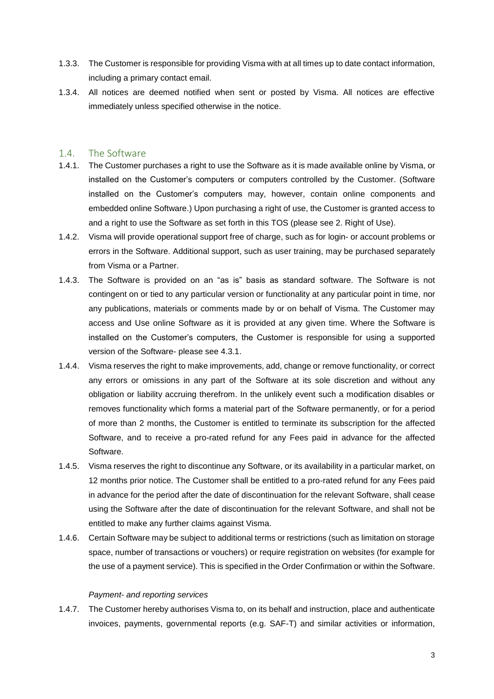- 1.3.3. The Customer is responsible for providing Visma with at all times up to date contact information, including a primary contact email.
- 1.3.4. All notices are deemed notified when sent or posted by Visma. All notices are effective immediately unless specified otherwise in the notice.

### <span id="page-6-0"></span>1.4. The Software

- 1.4.1. The Customer purchases a right to use the Software as it is made available online by Visma, or installed on the Customer's computers or computers controlled by the Customer. (Software installed on the Customer's computers may, however, contain online components and embedded online Software.) Upon purchasing a right of use, the Customer is granted access to and a right to use the Software as set forth in this TOS (please see [2. Right of Use\)](#page-7-0).
- 1.4.2. Visma will provide operational support free of charge, such as for login- or account problems or errors in the Software. Additional support, such as user training, may be purchased separately from Visma or a Partner.
- <span id="page-6-1"></span>1.4.3. The Software is provided on an "as is" basis as standard software. The Software is not contingent on or tied to any particular version or functionality at any particular point in time, nor any publications, materials or comments made by or on behalf of Visma. The Customer may access and Use online Software as it is provided at any given time. Where the Software is installed on the Customer's computers, the Customer is responsible for using a supported version of the Software- please see [4.3.1.](#page-19-2)
- 1.4.4. Visma reserves the right to make improvements, add, change or remove functionality, or correct any errors or omissions in any part of the Software at its sole discretion and without any obligation or liability accruing therefrom. In the unlikely event such a modification disables or removes functionality which forms a material part of the Software permanently, or for a period of more than 2 months, the Customer is entitled to terminate its subscription for the affected Software, and to receive a pro-rated refund for any Fees paid in advance for the affected Software.
- 1.4.5. Visma reserves the right to discontinue any Software, or its availability in a particular market, on 12 months prior notice. The Customer shall be entitled to a pro-rated refund for any Fees paid in advance for the period after the date of discontinuation for the relevant Software, shall cease using the Software after the date of discontinuation for the relevant Software, and shall not be entitled to make any further claims against Visma.
- 1.4.6. Certain Software may be subject to additional terms or restrictions (such as limitation on storage space, number of transactions or vouchers) or require registration on websites (for example for the use of a payment service). This is specified in the Order Confirmation or within the Software.

### *Payment- and reporting services*

1.4.7. The Customer hereby authorises Visma to, on its behalf and instruction, place and authenticate invoices, payments, governmental reports (e.g. SAF-T) and similar activities or information,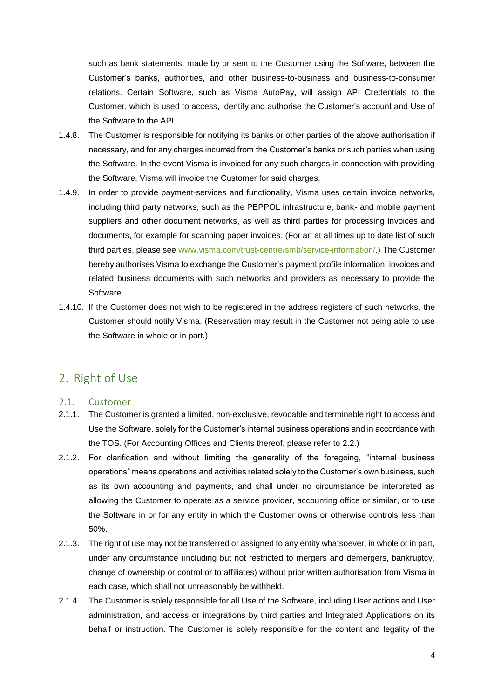such as bank statements, made by or sent to the Customer using the Software, between the Customer's banks, authorities, and other business-to-business and business-to-consumer relations. Certain Software, such as Visma AutoPay, will assign API Credentials to the Customer, which is used to access, identify and authorise the Customer's account and Use of the Software to the API.

- 1.4.8. The Customer is responsible for notifying its banks or other parties of the above authorisation if necessary, and for any charges incurred from the Customer's banks or such parties when using the Software. In the event Visma is invoiced for any such charges in connection with providing the Software, Visma will invoice the Customer for said charges.
- 1.4.9. In order to provide payment-services and functionality, Visma uses certain invoice networks, including third party networks, such as the PEPPOL infrastructure, bank- and mobile payment suppliers and other document networks, as well as third parties for processing invoices and documents, for example for scanning paper invoices. (For an at all times up to date list of such third parties, please see [www.visma.com/trust-centre/smb/service-information/.](http://www.visma.com/trust-centre/smb/service-information/terms-of-service)) The Customer hereby authorises Visma to exchange the Customer's payment profile information, invoices and related business documents with such networks and providers as necessary to provide the Software.
- 1.4.10. If the Customer does not wish to be registered in the address registers of such networks, the Customer should notify Visma. (Reservation may result in the Customer not being able to use the Software in whole or in part.)

### <span id="page-7-0"></span>2. Right of Use

### <span id="page-7-1"></span>2.1. Customer

- 2.1.1. The Customer is granted a limited, non-exclusive, revocable and terminable right to access and Use the Software, solely for the Customer's internal business operations and in accordance with the TOS. (For Accounting Offices and Clients thereof, please refer to [2.2.](#page-8-0))
- 2.1.2. For clarification and without limiting the generality of the foregoing, "internal business operations" means operations and activities related solely to the Customer's own business, such as its own accounting and payments, and shall under no circumstance be interpreted as allowing the Customer to operate as a service provider, accounting office or similar, or to use the Software in or for any entity in which the Customer owns or otherwise controls less than 50%.
- 2.1.3. The right of use may not be transferred or assigned to any entity whatsoever, in whole or in part, under any circumstance (including but not restricted to mergers and demergers, bankruptcy, change of ownership or control or to affiliates) without prior written authorisation from Visma in each case, which shall not unreasonably be withheld.
- 2.1.4. The Customer is solely responsible for all Use of the Software, including User actions and User administration, and access or integrations by third parties and Integrated Applications on its behalf or instruction. The Customer is solely responsible for the content and legality of the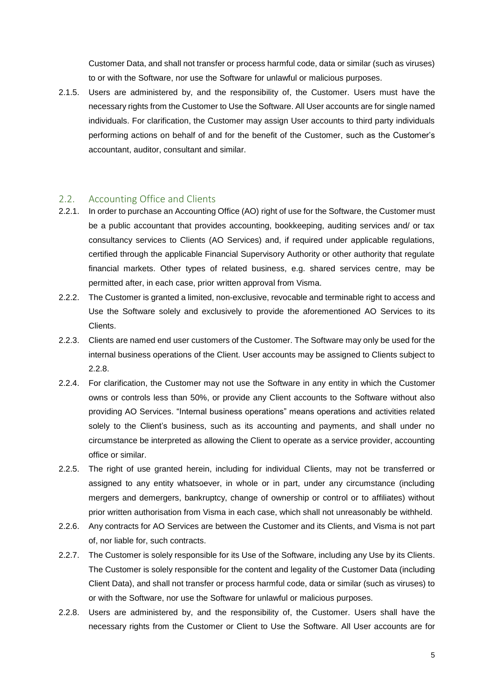Customer Data, and shall not transfer or process harmful code, data or similar (such as viruses) to or with the Software, nor use the Software for unlawful or malicious purposes.

2.1.5. Users are administered by, and the responsibility of, the Customer. Users must have the necessary rights from the Customer to Use the Software. All User accounts are for single named individuals. For clarification, the Customer may assign User accounts to third party individuals performing actions on behalf of and for the benefit of the Customer, such as the Customer's accountant, auditor, consultant and similar.

### <span id="page-8-0"></span>2.2. Accounting Office and Clients

- 2.2.1. In order to purchase an Accounting Office (AO) right of use for the Software, the Customer must be a public accountant that provides accounting, bookkeeping, auditing services and/ or tax consultancy services to Clients (AO Services) and, if required under applicable regulations, certified through the applicable Financial Supervisory Authority or other authority that regulate financial markets. Other types of related business, e.g. shared services centre, may be permitted after, in each case, prior written approval from Visma.
- 2.2.2. The Customer is granted a limited, non-exclusive, revocable and terminable right to access and Use the Software solely and exclusively to provide the aforementioned AO Services to its Clients.
- 2.2.3. Clients are named end user customers of the Customer. The Software may only be used for the internal business operations of the Client. User accounts may be assigned to Clients subject to [2.2.8.](#page-8-1)
- 2.2.4. For clarification, the Customer may not use the Software in any entity in which the Customer owns or controls less than 50%, or provide any Client accounts to the Software without also providing AO Services. "Internal business operations" means operations and activities related solely to the Client's business, such as its accounting and payments, and shall under no circumstance be interpreted as allowing the Client to operate as a service provider, accounting office or similar.
- 2.2.5. The right of use granted herein, including for individual Clients, may not be transferred or assigned to any entity whatsoever, in whole or in part, under any circumstance (including mergers and demergers, bankruptcy, change of ownership or control or to affiliates) without prior written authorisation from Visma in each case, which shall not unreasonably be withheld.
- 2.2.6. Any contracts for AO Services are between the Customer and its Clients, and Visma is not part of, nor liable for, such contracts.
- 2.2.7. The Customer is solely responsible for its Use of the Software, including any Use by its Clients. The Customer is solely responsible for the content and legality of the Customer Data (including Client Data), and shall not transfer or process harmful code, data or similar (such as viruses) to or with the Software, nor use the Software for unlawful or malicious purposes.
- <span id="page-8-1"></span>2.2.8. Users are administered by, and the responsibility of, the Customer. Users shall have the necessary rights from the Customer or Client to Use the Software. All User accounts are for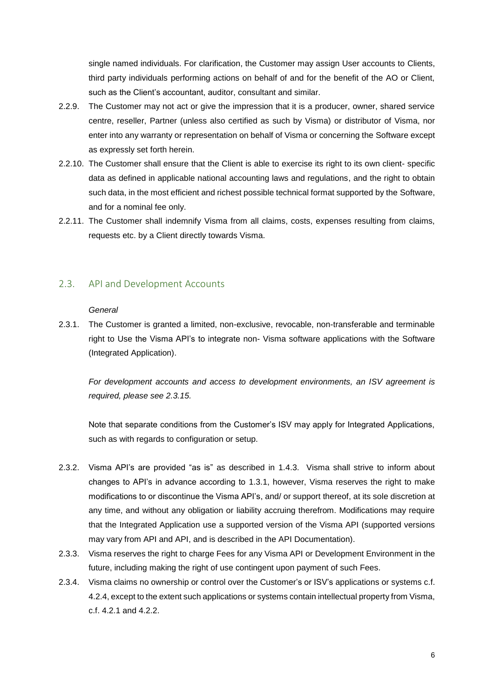single named individuals. For clarification, the Customer may assign User accounts to Clients, third party individuals performing actions on behalf of and for the benefit of the AO or Client, such as the Client's accountant, auditor, consultant and similar.

- 2.2.9. The Customer may not act or give the impression that it is a producer, owner, shared service centre, reseller, Partner (unless also certified as such by Visma) or distributor of Visma, nor enter into any warranty or representation on behalf of Visma or concerning the Software except as expressly set forth herein.
- 2.2.10. The Customer shall ensure that the Client is able to exercise its right to its own client- specific data as defined in applicable national accounting laws and regulations, and the right to obtain such data, in the most efficient and richest possible technical format supported by the Software, and for a nominal fee only.
- 2.2.11. The Customer shall indemnify Visma from all claims, costs, expenses resulting from claims, requests etc. by a Client directly towards Visma.

### <span id="page-9-0"></span>2.3. API and Development Accounts

#### *General*

<span id="page-9-1"></span>2.3.1. The Customer is granted a limited, non-exclusive, revocable, non-transferable and terminable right to Use the Visma API's to integrate non- Visma software applications with the Software (Integrated Application).

*For development accounts and access to development environments, an ISV agreement is required, please see [2.3.15.](#page-11-0)*

Note that separate conditions from the Customer's ISV may apply for Integrated Applications, such as with regards to configuration or setup.

- 2.3.2. Visma API's are provided "as is" as described in [1.4.3.](#page-6-1) Visma shall strive to inform about changes to API's in advance according to [1.3.1,](#page-5-2) however, Visma reserves the right to make modifications to or discontinue the Visma API's, and/ or support thereof, at its sole discretion at any time, and without any obligation or liability accruing therefrom. Modifications may require that the Integrated Application use a supported version of the Visma API (supported versions may vary from API and API, and is described in the API Documentation).
- 2.3.3. Visma reserves the right to charge Fees for any Visma API or Development Environment in the future, including making the right of use contingent upon payment of such Fees.
- 2.3.4. Visma claims no ownership or control over the Customer's or ISV's applications or systems c.f. [4.2.4,](#page-19-3) except to the extent such applications or systems contain intellectual property from Visma, c.f. [4.2.1](#page-19-4) and [4.2.2.](#page-19-5)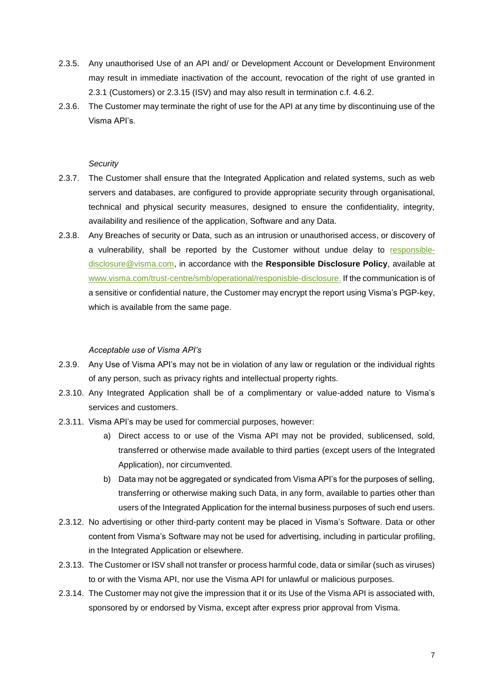- 2.3.5. Any unauthorised Use of an API and/ or Development Account or Development Environment may result in immediate inactivation of the account, revocation of the right of use granted in [2.3.1](#page-9-1) (Customers) or [2.3.15](#page-11-0) (ISV) and may also result in termination c.f. [4.6.2.](#page-22-3)
- 2.3.6. The Customer may terminate the right of use for the API at any time by discontinuing use of the Visma API's.

#### *Security*

- 2.3.7. The Customer shall ensure that the Integrated Application and related systems, such as web servers and databases, are configured to provide appropriate security through organisational, technical and physical security measures, designed to ensure the confidentiality, integrity, availability and resilience of the application, Software and any Data.
- 2.3.8. Any Breaches of security or Data, such as an intrusion or unauthorised access, or discovery of a vulnerability, shall be reported by the Customer without undue delay to [responsible](mailto:responsible-disclosure@visma.com)[disclosure@visma.com,](mailto:responsible-disclosure@visma.com) in accordance with the **Responsible Disclosure Policy**, available at [www.visma.com/trust-centre/smb/operational/responisble-disclosure.](http://www.visma.com/trust-centre/smb/service-information/terms-of-service) If the communication is of a sensitive or confidential nature, the Customer may encrypt the report using Visma's PGP-key, which is available from the same page.

#### *Acceptable use of Visma API's*

- 2.3.9. Any Use of Visma API's may not be in violation of any law or regulation or the individual rights of any person, such as privacy rights and intellectual property rights.
- 2.3.10. Any Integrated Application shall be of a complimentary or value-added nature to Visma's services and customers.
- 2.3.11. Visma API's may be used for commercial purposes, however:
	- a) Direct access to or use of the Visma API may not be provided, sublicensed, sold, transferred or otherwise made available to third parties (except users of the Integrated Application), nor circumvented.
	- b) Data may not be aggregated or syndicated from Visma API's for the purposes of selling, transferring or otherwise making such Data, in any form, available to parties other than users of the Integrated Application for the internal business purposes of such end users.
- 2.3.12. No advertising or other third-party content may be placed in Visma's Software. Data or other content from Visma's Software may not be used for advertising, including in particular profiling, in the Integrated Application or elsewhere.
- 2.3.13. The Customer or ISV shall not transfer or process harmful code, data or similar (such as viruses) to or with the Visma API, nor use the Visma API for unlawful or malicious purposes.
- 2.3.14. The Customer may not give the impression that it or its Use of the Visma API is associated with, sponsored by or endorsed by Visma, except after express prior approval from Visma.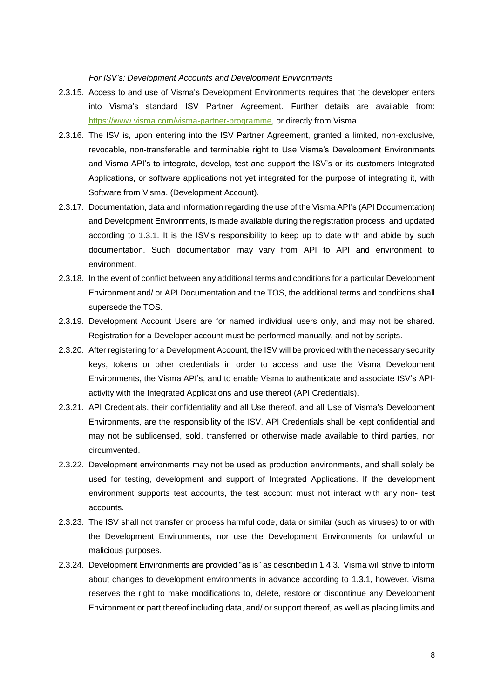*For ISV's: Development Accounts and Development Environments*

- <span id="page-11-0"></span>2.3.15. Access to and use of Visma's Development Environments requires that the developer enters into Visma's standard ISV Partner Agreement. Further details are available from: [https://www.visma.com/visma-partner-programme,](https://www.visma.com/visma-partner-programme) or directly from Visma.
- 2.3.16. The ISV is, upon entering into the ISV Partner Agreement, granted a limited, non-exclusive, revocable, non-transferable and terminable right to Use Visma's Development Environments and Visma API's to integrate, develop, test and support the ISV's or its customers Integrated Applications, or software applications not yet integrated for the purpose of integrating it, with Software from Visma. (Development Account).
- 2.3.17. Documentation, data and information regarding the use of the Visma API's (API Documentation) and Development Environments, is made available during the registration process, and updated according to [1.3.1.](#page-5-2) It is the ISV's responsibility to keep up to date with and abide by such documentation. Such documentation may vary from API to API and environment to environment.
- 2.3.18. In the event of conflict between any additional terms and conditions for a particular Development Environment and/ or API Documentation and the TOS, the additional terms and conditions shall supersede the TOS.
- 2.3.19. Development Account Users are for named individual users only, and may not be shared. Registration for a Developer account must be performed manually, and not by scripts.
- 2.3.20. After registering for a Development Account, the ISV will be provided with the necessary security keys, tokens or other credentials in order to access and use the Visma Development Environments, the Visma API's, and to enable Visma to authenticate and associate ISV's APIactivity with the Integrated Applications and use thereof (API Credentials).
- 2.3.21. API Credentials, their confidentiality and all Use thereof, and all Use of Visma's Development Environments, are the responsibility of the ISV. API Credentials shall be kept confidential and may not be sublicensed, sold, transferred or otherwise made available to third parties, nor circumvented.
- 2.3.22. Development environments may not be used as production environments, and shall solely be used for testing, development and support of Integrated Applications. If the development environment supports test accounts, the test account must not interact with any non- test accounts.
- 2.3.23. The ISV shall not transfer or process harmful code, data or similar (such as viruses) to or with the Development Environments, nor use the Development Environments for unlawful or malicious purposes.
- 2.3.24. Development Environments are provided "as is" as described in [1.4.3.](#page-6-1) Visma will strive to inform about changes to development environments in advance according to [1.3.1,](#page-5-2) however, Visma reserves the right to make modifications to, delete, restore or discontinue any Development Environment or part thereof including data, and/ or support thereof, as well as placing limits and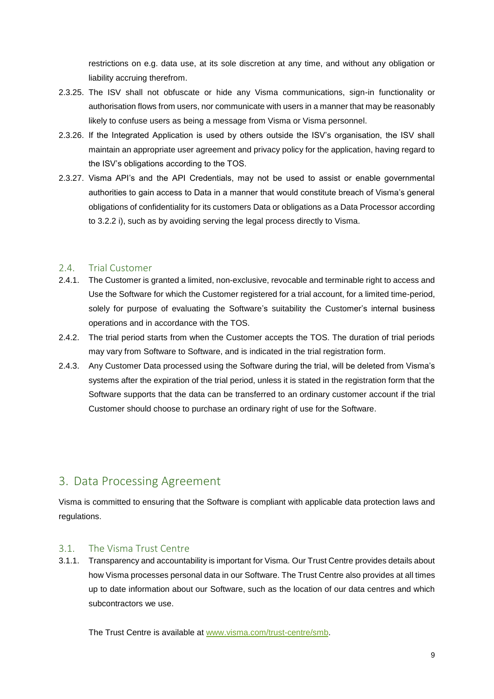restrictions on e.g. data use, at its sole discretion at any time, and without any obligation or liability accruing therefrom.

- 2.3.25. The ISV shall not obfuscate or hide any Visma communications, sign-in functionality or authorisation flows from users, nor communicate with users in a manner that may be reasonably likely to confuse users as being a message from Visma or Visma personnel.
- 2.3.26. If the Integrated Application is used by others outside the ISV's organisation, the ISV shall maintain an appropriate user agreement and privacy policy for the application, having regard to the ISV's obligations according to the TOS.
- 2.3.27. Visma API's and the API Credentials, may not be used to assist or enable governmental authorities to gain access to Data in a manner that would constitute breach of Visma's general obligations of confidentiality for its customers Data or obligations as a Data Processor according to [3.2.2](#page-13-1) i), such as by avoiding serving the legal process directly to Visma.

### <span id="page-12-0"></span>2.4. Trial Customer

- 2.4.1. The Customer is granted a limited, non-exclusive, revocable and terminable right to access and Use the Software for which the Customer registered for a trial account, for a limited time-period, solely for purpose of evaluating the Software's suitability the Customer's internal business operations and in accordance with the TOS.
- 2.4.2. The trial period starts from when the Customer accepts the TOS. The duration of trial periods may vary from Software to Software, and is indicated in the trial registration form.
- 2.4.3. Any Customer Data processed using the Software during the trial, will be deleted from Visma's systems after the expiration of the trial period, unless it is stated in the registration form that the Software supports that the data can be transferred to an ordinary customer account if the trial Customer should choose to purchase an ordinary right of use for the Software.

### <span id="page-12-1"></span>3. Data Processing Agreement

Visma is committed to ensuring that the Software is compliant with applicable data protection laws and regulations.

### <span id="page-12-2"></span>3.1. The Visma Trust Centre

3.1.1. Transparency and accountability is important for Visma. Our Trust Centre provides details about how Visma processes personal data in our Software. The Trust Centre also provides at all times up to date information about our Software, such as the location of our data centres and which subcontractors we use.

The Trust Centre is available at [www.visma.com/trust-centre/smb.](http://www.visma.com/trust-centre/smb)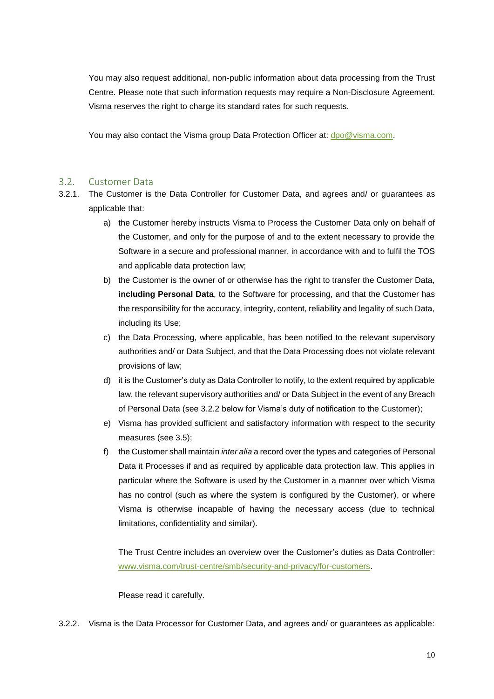You may also request additional, non-public information about data processing from the Trust Centre. Please note that such information requests may require a Non-Disclosure Agreement. Visma reserves the right to charge its standard rates for such requests.

You may also contact the Visma group Data Protection Officer at: [dpo@visma.com.](mailto:data%20protection%20officer@visma.com)

### <span id="page-13-0"></span>3.2. Customer Data

- <span id="page-13-2"></span>3.2.1. The Customer is the Data Controller for Customer Data, and agrees and/ or guarantees as applicable that:
	- a) the Customer hereby instructs Visma to Process the Customer Data only on behalf of the Customer, and only for the purpose of and to the extent necessary to provide the Software in a secure and professional manner, in accordance with and to fulfil the TOS and applicable data protection law;
	- b) the Customer is the owner of or otherwise has the right to transfer the Customer Data, **including Personal Data**, to the Software for processing, and that the Customer has the responsibility for the accuracy, integrity, content, reliability and legality of such Data, including its Use;
	- c) the Data Processing, where applicable, has been notified to the relevant supervisory authorities and/ or Data Subject, and that the Data Processing does not violate relevant provisions of law;
	- d) it is the Customer's duty as Data Controller to notify, to the extent required by applicable law, the relevant supervisory authorities and/ or Data Subject in the event of any Breach of Personal Data (see [3.2.2](#page-13-1) below for Visma's duty of notification to the Customer);
	- e) Visma has provided sufficient and satisfactory information with respect to the security measures (see [3.5\)](#page-17-1);
	- f) the Customer shall maintain *inter alia* a record over the types and categories of Personal Data it Processes if and as required by applicable data protection law. This applies in particular where the Software is used by the Customer in a manner over which Visma has no control (such as where the system is configured by the Customer), or where Visma is otherwise incapable of having the necessary access (due to technical limitations, confidentiality and similar).

The Trust Centre includes an overview over the Customer's duties as Data Controller: [www.visma.com/trust-centre/smb/security-and-privacy/for-customers.](http://www.visma.com/trust-centre/smb/security-and-privacy/for-customers)

Please read it carefully.

<span id="page-13-1"></span>3.2.2. Visma is the Data Processor for Customer Data, and agrees and/ or guarantees as applicable: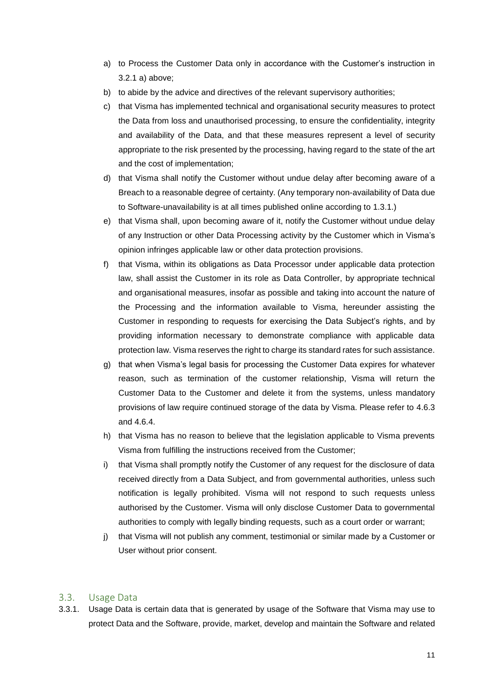- a) to Process the Customer Data only in accordance with the Customer's instruction in [3.2.1](#page-13-2) a) above;
- b) to abide by the advice and directives of the relevant supervisory authorities;
- c) that Visma has implemented technical and organisational security measures to protect the Data from loss and unauthorised processing, to ensure the confidentiality, integrity and availability of the Data, and that these measures represent a level of security appropriate to the risk presented by the processing, having regard to the state of the art and the cost of implementation;
- d) that Visma shall notify the Customer without undue delay after becoming aware of a Breach to a reasonable degree of certainty. (Any temporary non-availability of Data due to Software-unavailability is at all times published online according to [1.3.1.](#page-5-2))
- e) that Visma shall, upon becoming aware of it, notify the Customer without undue delay of any Instruction or other Data Processing activity by the Customer which in Visma's opinion infringes applicable law or other data protection provisions.
- f) that Visma, within its obligations as Data Processor under applicable data protection law, shall assist the Customer in its role as Data Controller, by appropriate technical and organisational measures, insofar as possible and taking into account the nature of the Processing and the information available to Visma, hereunder assisting the Customer in responding to requests for exercising the Data Subject's rights, and by providing information necessary to demonstrate compliance with applicable data protection law. Visma reserves the right to charge its standard rates for such assistance.
- g) that when Visma's legal basis for processing the Customer Data expires for whatever reason, such as termination of the customer relationship, Visma will return the Customer Data to the Customer and delete it from the systems, unless mandatory provisions of law require continued storage of the data by Visma. Please refer to [4.6.3](#page-22-4) and [4.6.4.](#page-22-5)
- h) that Visma has no reason to believe that the legislation applicable to Visma prevents Visma from fulfilling the instructions received from the Customer;
- i) that Visma shall promptly notify the Customer of any request for the disclosure of data received directly from a Data Subject, and from governmental authorities, unless such notification is legally prohibited. Visma will not respond to such requests unless authorised by the Customer. Visma will only disclose Customer Data to governmental authorities to comply with legally binding requests, such as a court order or warrant;
- j) that Visma will not publish any comment, testimonial or similar made by a Customer or User without prior consent.

### <span id="page-14-0"></span>3.3. Usage Data

3.3.1. Usage Data is certain data that is generated by usage of the Software that Visma may use to protect Data and the Software, provide, market, develop and maintain the Software and related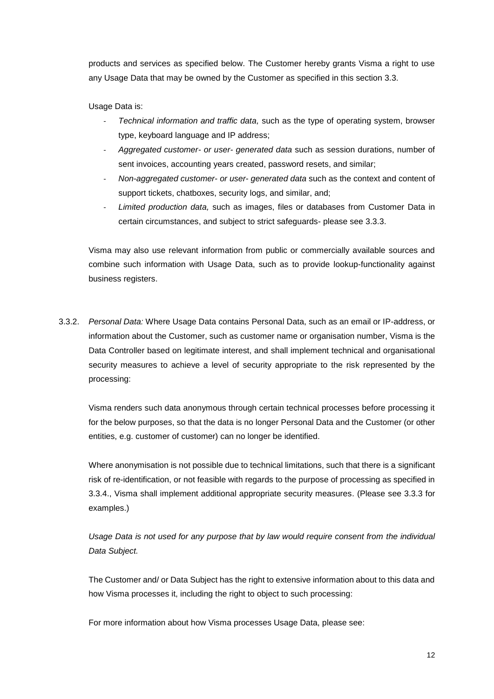products and services as specified below. The Customer hereby grants Visma a right to use any Usage Data that may be owned by the Customer as specified in this section [3.3.](#page-14-0)

Usage Data is:

- *Technical information and traffic data,* such as the type of operating system, browser type, keyboard language and IP address;
- *Aggregated customer- or user- generated data* such as session durations, number of sent invoices, accounting years created, password resets, and similar;
- *Non-aggregated customer- or user- generated data* such as the context and content of support tickets, chatboxes, security logs, and similar, and;
- *Limited production data,* such as images, files or databases from Customer Data in certain circumstances, and subject to strict safeguards- please see [3.3.3.](#page-16-0)

Visma may also use relevant information from public or commercially available sources and combine such information with Usage Data, such as to provide lookup-functionality against business registers.

3.3.2. *Personal Data:* Where Usage Data contains Personal Data, such as an email or IP-address, or information about the Customer, such as customer name or organisation number, Visma is the Data Controller based on legitimate interest, and shall implement technical and organisational security measures to achieve a level of security appropriate to the risk represented by the processing:

Visma renders such data anonymous through certain technical processes before processing it for the below purposes, so that the data is no longer Personal Data and the Customer (or other entities, e.g. customer of customer) can no longer be identified.

Where anonymisation is not possible due to technical limitations, such that there is a significant risk of re-identification, or not feasible with regards to the purpose of processing as specified in [3.3.4.](#page-16-1), Visma shall implement additional appropriate security measures. (Please see [3.3.3](#page-16-0) for examples.)

Usage Data is not used for any purpose that by law would require consent from the *individual Data Subject.*

The Customer and/ or Data Subject has the right to extensive information about to this data and how Visma processes it, including the right to object to such processing:

For more information about how Visma processes Usage Data, please see: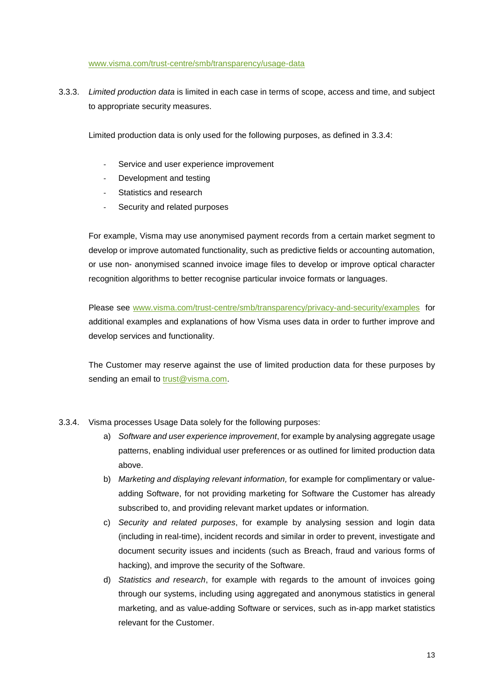[www.visma.com/trust-centre/smb/transparency/usage-data](http://www.visma.com/trust-centre/smb/transparency/usage-data)

<span id="page-16-0"></span>3.3.3. *Limited production data* is limited in each case in terms of scope, access and time, and subject to appropriate security measures.

Limited production data is only used for the following purposes, as defined in [3.3.4:](#page-16-1)

- Service and user experience improvement
- Development and testing
- Statistics and research
- Security and related purposes

For example, Visma may use anonymised payment records from a certain market segment to develop or improve automated functionality, such as predictive fields or accounting automation, or use non- anonymised scanned invoice image files to develop or improve optical character recognition algorithms to better recognise particular invoice formats or languages.

Please see [www.visma.com/trust-centre/smb/transparency/privacy-and-security/examples](http://www.visma.com/trust-centre/smb/transparency/privacy-and-security/examples) for additional examples and explanations of how Visma uses data in order to further improve and develop services and functionality.

The Customer may reserve against the use of limited production data for these purposes by sending an email to [trust@visma.com.](mailto:trust@visma.com)

- <span id="page-16-1"></span>3.3.4. Visma processes Usage Data solely for the following purposes:
	- a) *Software and user experience improvement*, for example by analysing aggregate usage patterns, enabling individual user preferences or as outlined for limited production data above.
	- b) *Marketing and displaying relevant information,* for example for complimentary or valueadding Software, for not providing marketing for Software the Customer has already subscribed to, and providing relevant market updates or information.
	- c) *Security and related purposes*, for example by analysing session and login data (including in real-time), incident records and similar in order to prevent, investigate and document security issues and incidents (such as Breach, fraud and various forms of hacking), and improve the security of the Software.
	- d) *Statistics and research*, for example with regards to the amount of invoices going through our systems, including using aggregated and anonymous statistics in general marketing, and as value-adding Software or services, such as in-app market statistics relevant for the Customer.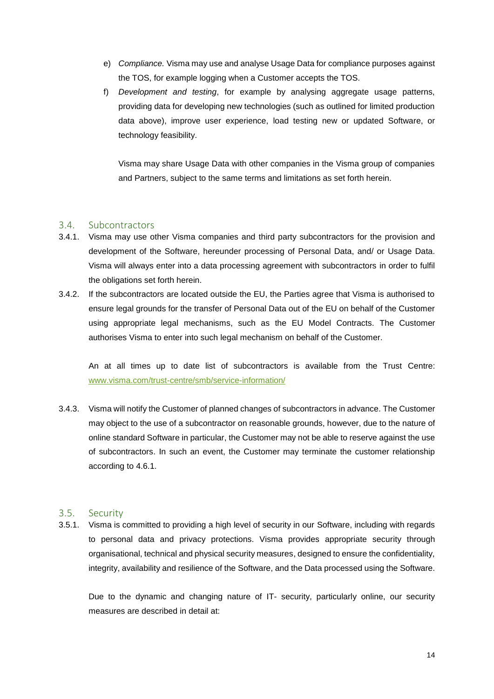- e) *Compliance.* Visma may use and analyse Usage Data for compliance purposes against the TOS, for example logging when a Customer accepts the TOS.
- f) *Development and testing*, for example by analysing aggregate usage patterns, providing data for developing new technologies (such as outlined for limited production data above), improve user experience, load testing new or updated Software, or technology feasibility.

Visma may share Usage Data with other companies in the Visma group of companies and Partners, subject to the same terms and limitations as set forth herein.

### <span id="page-17-0"></span>3.4. Subcontractors

- 3.4.1. Visma may use other Visma companies and third party subcontractors for the provision and development of the Software, hereunder processing of Personal Data, and/ or Usage Data. Visma will always enter into a data processing agreement with subcontractors in order to fulfil the obligations set forth herein.
- 3.4.2. If the subcontractors are located outside the EU, the Parties agree that Visma is authorised to ensure legal grounds for the transfer of Personal Data out of the EU on behalf of the Customer using appropriate legal mechanisms, such as the EU Model Contracts. The Customer authorises Visma to enter into such legal mechanism on behalf of the Customer.

An at all times up to date list of subcontractors is available from the Trust Centre: [www.visma.com/trust-centre/smb/service-information/](http://www.visma.com/trust-centre/smb/service-information/terms-of-service)

3.4.3. Visma will notify the Customer of planned changes of subcontractors in advance. The Customer may object to the use of a subcontractor on reasonable grounds, however, due to the nature of online standard Software in particular, the Customer may not be able to reserve against the use of subcontractors. In such an event, the Customer may terminate the customer relationship according to [4.6.1.](#page-22-2)

### <span id="page-17-1"></span>3.5. Security

3.5.1. Visma is committed to providing a high level of security in our Software, including with regards to personal data and privacy protections. Visma provides appropriate security through organisational, technical and physical security measures, designed to ensure the confidentiality, integrity, availability and resilience of the Software, and the Data processed using the Software.

Due to the dynamic and changing nature of IT- security, particularly online, our security measures are described in detail at: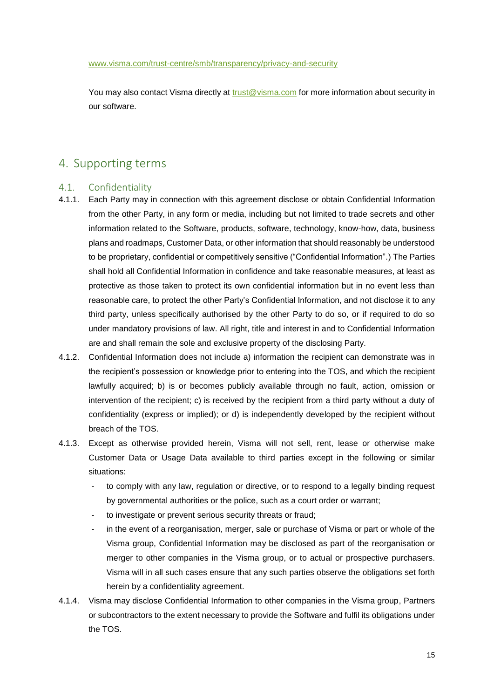[www.visma.com/trust-centre/smb/transparency/privacy-and-security](http://www.visma.com/trust-centre/smb/transparency/privacy-and-security)

You may also contact Visma directly at [trust@visma.com](mailto:trust@visma.com) for more information about security in our software.

### <span id="page-18-0"></span>4. Supporting terms

### <span id="page-18-1"></span>4.1. Confidentiality

- 4.1.1. Each Party may in connection with this agreement disclose or obtain Confidential Information from the other Party, in any form or media, including but not limited to trade secrets and other information related to the Software, products, software, technology, know-how, data, business plans and roadmaps, Customer Data, or other information that should reasonably be understood to be proprietary, confidential or competitively sensitive ("Confidential Information".) The Parties shall hold all Confidential Information in confidence and take reasonable measures, at least as protective as those taken to protect its own confidential information but in no event less than reasonable care, to protect the other Party's Confidential Information, and not disclose it to any third party, unless specifically authorised by the other Party to do so, or if required to do so under mandatory provisions of law. All right, title and interest in and to Confidential Information are and shall remain the sole and exclusive property of the disclosing Party.
- 4.1.2. Confidential Information does not include a) information the recipient can demonstrate was in the recipient's possession or knowledge prior to entering into the TOS, and which the recipient lawfully acquired; b) is or becomes publicly available through no fault, action, omission or intervention of the recipient; c) is received by the recipient from a third party without a duty of confidentiality (express or implied); or d) is independently developed by the recipient without breach of the TOS.
- 4.1.3. Except as otherwise provided herein, Visma will not sell, rent, lease or otherwise make Customer Data or Usage Data available to third parties except in the following or similar situations:
	- to comply with any law, regulation or directive, or to respond to a legally binding request by governmental authorities or the police, such as a court order or warrant;
	- to investigate or prevent serious security threats or fraud;
	- in the event of a reorganisation, merger, sale or purchase of Visma or part or whole of the Visma group, Confidential Information may be disclosed as part of the reorganisation or merger to other companies in the Visma group, or to actual or prospective purchasers. Visma will in all such cases ensure that any such parties observe the obligations set forth herein by a confidentiality agreement.
- 4.1.4. Visma may disclose Confidential Information to other companies in the Visma group, Partners or subcontractors to the extent necessary to provide the Software and fulfil its obligations under the TOS.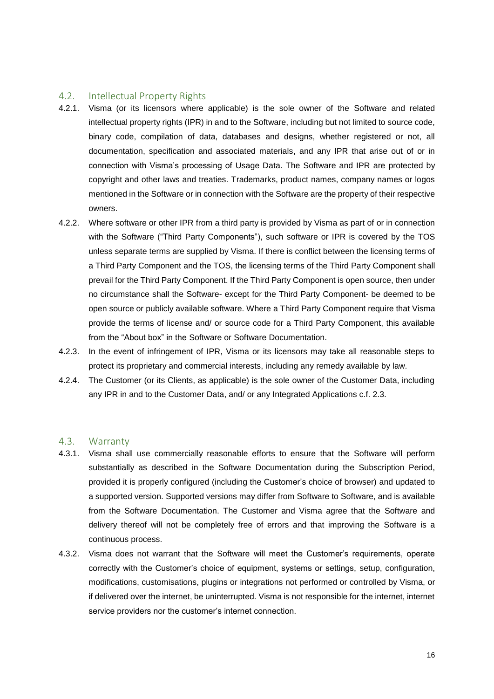### <span id="page-19-0"></span>4.2. Intellectual Property Rights

- <span id="page-19-4"></span>4.2.1. Visma (or its licensors where applicable) is the sole owner of the Software and related intellectual property rights (IPR) in and to the Software, including but not limited to source code, binary code, compilation of data, databases and designs, whether registered or not, all documentation, specification and associated materials, and any IPR that arise out of or in connection with Visma's processing of Usage Data. The Software and IPR are protected by copyright and other laws and treaties. Trademarks, product names, company names or logos mentioned in the Software or in connection with the Software are the property of their respective owners.
- <span id="page-19-5"></span>4.2.2. Where software or other IPR from a third party is provided by Visma as part of or in connection with the Software ("Third Party Components"), such software or IPR is covered by the TOS unless separate terms are supplied by Visma. If there is conflict between the licensing terms of a Third Party Component and the TOS, the licensing terms of the Third Party Component shall prevail for the Third Party Component. If the Third Party Component is open source, then under no circumstance shall the Software- except for the Third Party Component- be deemed to be open source or publicly available software. Where a Third Party Component require that Visma provide the terms of license and/ or source code for a Third Party Component, this available from the "About box" in the Software or Software Documentation.
- 4.2.3. In the event of infringement of IPR, Visma or its licensors may take all reasonable steps to protect its proprietary and commercial interests, including any remedy available by law.
- <span id="page-19-3"></span>4.2.4. The Customer (or its Clients, as applicable) is the sole owner of the Customer Data, including any IPR in and to the Customer Data, and/ or any Integrated Applications c.f. [2.3.](#page-9-0)

### <span id="page-19-1"></span>4.3. Warranty

- <span id="page-19-2"></span>4.3.1. Visma shall use commercially reasonable efforts to ensure that the Software will perform substantially as described in the Software Documentation during the Subscription Period, provided it is properly configured (including the Customer's choice of browser) and updated to a supported version. Supported versions may differ from Software to Software, and is available from the Software Documentation. The Customer and Visma agree that the Software and delivery thereof will not be completely free of errors and that improving the Software is a continuous process.
- 4.3.2. Visma does not warrant that the Software will meet the Customer's requirements, operate correctly with the Customer's choice of equipment, systems or settings, setup, configuration, modifications, customisations, plugins or integrations not performed or controlled by Visma, or if delivered over the internet, be uninterrupted. Visma is not responsible for the internet, internet service providers nor the customer's internet connection.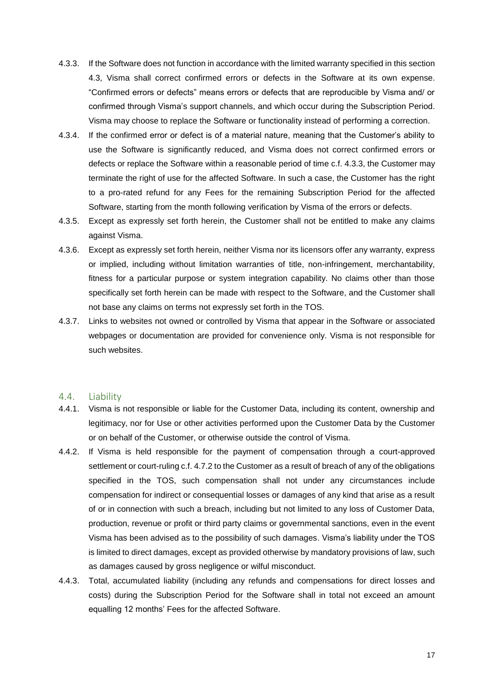- <span id="page-20-1"></span>4.3.3. If the Software does not function in accordance with the limited warranty specified in this section [4.3,](#page-19-1) Visma shall correct confirmed errors or defects in the Software at its own expense. "Confirmed errors or defects" means errors or defects that are reproducible by Visma and/ or confirmed through Visma's support channels, and which occur during the Subscription Period. Visma may choose to replace the Software or functionality instead of performing a correction.
- 4.3.4. If the confirmed error or defect is of a material nature, meaning that the Customer's ability to use the Software is significantly reduced, and Visma does not correct confirmed errors or defects or replace the Software within a reasonable period of time c.f. [4.3.3,](#page-20-1) the Customer may terminate the right of use for the affected Software. In such a case, the Customer has the right to a pro-rated refund for any Fees for the remaining Subscription Period for the affected Software, starting from the month following verification by Visma of the errors or defects.
- 4.3.5. Except as expressly set forth herein, the Customer shall not be entitled to make any claims against Visma.
- 4.3.6. Except as expressly set forth herein, neither Visma nor its licensors offer any warranty, express or implied, including without limitation warranties of title, non-infringement, merchantability, fitness for a particular purpose or system integration capability. No claims other than those specifically set forth herein can be made with respect to the Software, and the Customer shall not base any claims on terms not expressly set forth in the TOS.
- 4.3.7. Links to websites not owned or controlled by Visma that appear in the Software or associated webpages or documentation are provided for convenience only. Visma is not responsible for such websites.

### <span id="page-20-0"></span>4.4. Liability

- 4.4.1. Visma is not responsible or liable for the Customer Data, including its content, ownership and legitimacy, nor for Use or other activities performed upon the Customer Data by the Customer or on behalf of the Customer, or otherwise outside the control of Visma.
- 4.4.2. If Visma is held responsible for the payment of compensation through a court-approved settlement or court-ruling c.f. [4.7.2](#page-22-6) to the Customer as a result of breach of any of the obligations specified in the TOS, such compensation shall not under any circumstances include compensation for indirect or consequential losses or damages of any kind that arise as a result of or in connection with such a breach, including but not limited to any loss of Customer Data, production, revenue or profit or third party claims or governmental sanctions, even in the event Visma has been advised as to the possibility of such damages. Visma's liability under the TOS is limited to direct damages, except as provided otherwise by mandatory provisions of law, such as damages caused by gross negligence or wilful misconduct.
- 4.4.3. Total, accumulated liability (including any refunds and compensations for direct losses and costs) during the Subscription Period for the Software shall in total not exceed an amount equalling 12 months' Fees for the affected Software.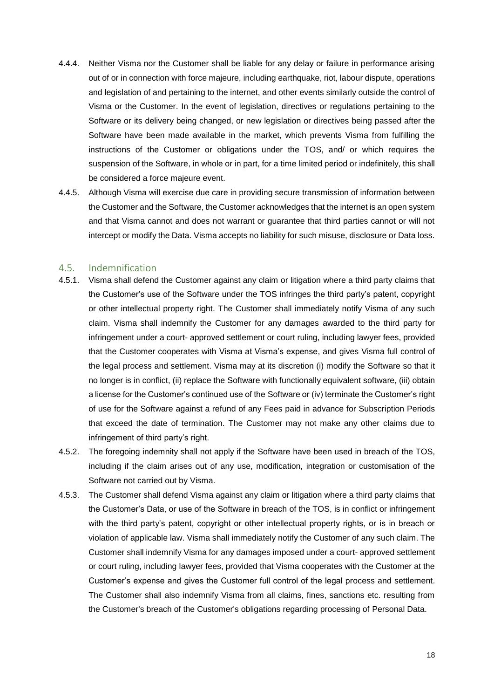- 4.4.4. Neither Visma nor the Customer shall be liable for any delay or failure in performance arising out of or in connection with force majeure, including earthquake, riot, labour dispute, operations and legislation of and pertaining to the internet, and other events similarly outside the control of Visma or the Customer. In the event of legislation, directives or regulations pertaining to the Software or its delivery being changed, or new legislation or directives being passed after the Software have been made available in the market, which prevents Visma from fulfilling the instructions of the Customer or obligations under the TOS, and/ or which requires the suspension of the Software, in whole or in part, for a time limited period or indefinitely, this shall be considered a force majeure event.
- 4.4.5. Although Visma will exercise due care in providing secure transmission of information between the Customer and the Software, the Customer acknowledges that the internet is an open system and that Visma cannot and does not warrant or guarantee that third parties cannot or will not intercept or modify the Data. Visma accepts no liability for such misuse, disclosure or Data loss.

### <span id="page-21-0"></span>4.5. Indemnification

- 4.5.1. Visma shall defend the Customer against any claim or litigation where a third party claims that the Customer's use of the Software under the TOS infringes the third party's patent, copyright or other intellectual property right. The Customer shall immediately notify Visma of any such claim. Visma shall indemnify the Customer for any damages awarded to the third party for infringement under a court- approved settlement or court ruling, including lawyer fees, provided that the Customer cooperates with Visma at Visma's expense, and gives Visma full control of the legal process and settlement. Visma may at its discretion (i) modify the Software so that it no longer is in conflict, (ii) replace the Software with functionally equivalent software, (iii) obtain a license for the Customer's continued use of the Software or (iv) terminate the Customer's right of use for the Software against a refund of any Fees paid in advance for Subscription Periods that exceed the date of termination. The Customer may not make any other claims due to infringement of third party's right.
- 4.5.2. The foregoing indemnity shall not apply if the Software have been used in breach of the TOS, including if the claim arises out of any use, modification, integration or customisation of the Software not carried out by Visma.
- 4.5.3. The Customer shall defend Visma against any claim or litigation where a third party claims that the Customer's Data, or use of the Software in breach of the TOS, is in conflict or infringement with the third party's patent, copyright or other intellectual property rights, or is in breach or violation of applicable law. Visma shall immediately notify the Customer of any such claim. The Customer shall indemnify Visma for any damages imposed under a court- approved settlement or court ruling, including lawyer fees, provided that Visma cooperates with the Customer at the Customer's expense and gives the Customer full control of the legal process and settlement. The Customer shall also indemnify Visma from all claims, fines, sanctions etc. resulting from the Customer's breach of the Customer's obligations regarding processing of Personal Data.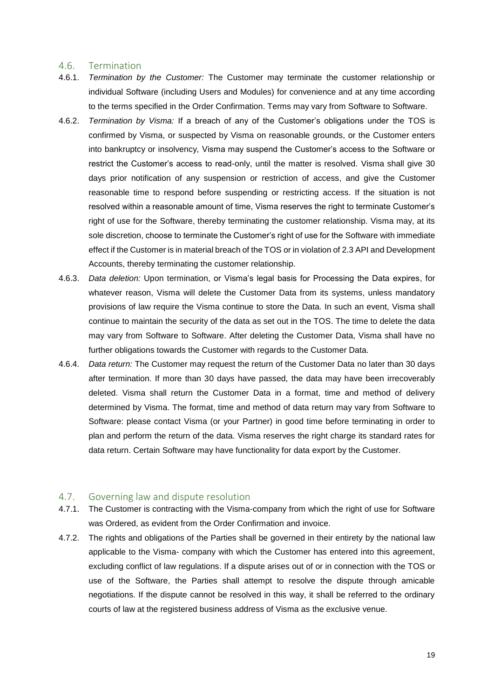#### <span id="page-22-0"></span>4.6. Termination

- <span id="page-22-2"></span>4.6.1. *Termination by the Customer:* The Customer may terminate the customer relationship or individual Software (including Users and Modules) for convenience and at any time according to the terms specified in the Order Confirmation. Terms may vary from Software to Software.
- <span id="page-22-3"></span>4.6.2. *Termination by Visma:* If a breach of any of the Customer's obligations under the TOS is confirmed by Visma, or suspected by Visma on reasonable grounds, or the Customer enters into bankruptcy or insolvency, Visma may suspend the Customer's access to the Software or restrict the Customer's access to read-only, until the matter is resolved. Visma shall give 30 days prior notification of any suspension or restriction of access, and give the Customer reasonable time to respond before suspending or restricting access. If the situation is not resolved within a reasonable amount of time, Visma reserves the right to terminate Customer's right of use for the Software, thereby terminating the customer relationship. Visma may, at its sole discretion, choose to terminate the Customer's right of use for the Software with immediate effect if the Customer is in material breach of the TOS or in violation of [2.3](#page-9-0) API [and Development](#page-9-0)  [Accounts,](#page-9-0) thereby terminating the customer relationship.
- <span id="page-22-4"></span>4.6.3. *Data deletion:* Upon termination, or Visma's legal basis for Processing the Data expires, for whatever reason, Visma will delete the Customer Data from its systems, unless mandatory provisions of law require the Visma continue to store the Data. In such an event, Visma shall continue to maintain the security of the data as set out in the TOS. The time to delete the data may vary from Software to Software. After deleting the Customer Data, Visma shall have no further obligations towards the Customer with regards to the Customer Data.
- <span id="page-22-5"></span>4.6.4. *Data return:* The Customer may request the return of the Customer Data no later than 30 days after termination. If more than 30 days have passed, the data may have been irrecoverably deleted. Visma shall return the Customer Data in a format, time and method of delivery determined by Visma. The format, time and method of data return may vary from Software to Software: please contact Visma (or your Partner) in good time before terminating in order to plan and perform the return of the data. Visma reserves the right charge its standard rates for data return. Certain Software may have functionality for data export by the Customer.

### <span id="page-22-1"></span>4.7. Governing law and dispute resolution

- 4.7.1. The Customer is contracting with the Visma-company from which the right of use for Software was Ordered, as evident from the Order Confirmation and invoice.
- <span id="page-22-6"></span>4.7.2. The rights and obligations of the Parties shall be governed in their entirety by the national law applicable to the Visma- company with which the Customer has entered into this agreement, excluding conflict of law regulations. If a dispute arises out of or in connection with the TOS or use of the Software, the Parties shall attempt to resolve the dispute through amicable negotiations. If the dispute cannot be resolved in this way, it shall be referred to the ordinary courts of law at the registered business address of Visma as the exclusive venue.